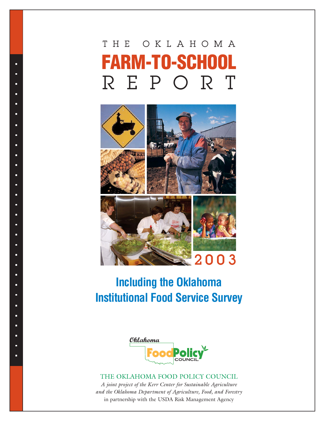# THE OKLAHOMA **FARM-TO-SCHOOL** REPORT

Ξ Е

ō Ė

ò n n п n n Е Е ō ō Е Ė ň. ò n è Ė ò

ö ö

ò

ò

ö



## **Including the Oklahoma Institutional Food Service Survey**



## THE OKLAHOMA FOOD POLICY COUNCIL

*A joint project of the Kerr Center for Sustainable Agriculture and the Oklahoma Department of Agriculture, Food, and Forestry* in partnership with the USDA Risk Management Agency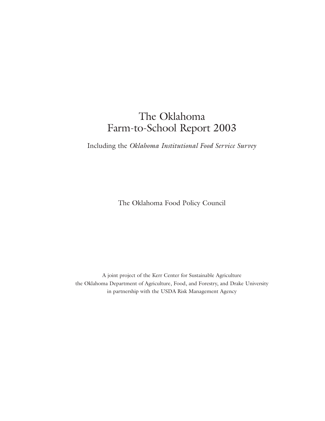## The Oklahoma Farm-to-School Report 2003

Including the *Oklahoma Institutional Food Service Survey* 

The Oklahoma Food Policy Council

A joint project of the Kerr Center for Sustainable Agriculture the Oklahoma Department of Agriculture, Food, and Forestry, and Drake University in partnership with the USDA Risk Management Agency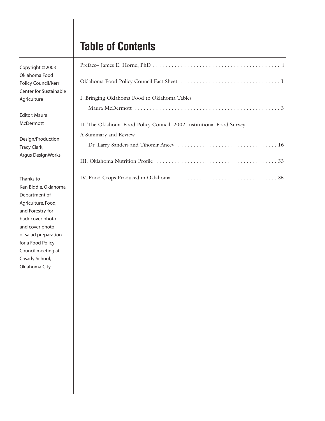## **Table of Contents**

| err<br>nable |                                                                                              |
|--------------|----------------------------------------------------------------------------------------------|
|              | I. Bringing Oklahoma Food to Oklahoma Tables                                                 |
|              |                                                                                              |
|              | II. The Oklahoma Food Policy Council 2002 Institutional Food Survey:<br>A Summary and Review |
| on:          |                                                                                              |
| rks          |                                                                                              |
|              |                                                                                              |

Copyright ©2003 Oklahoma Food Policy Council/Ke Center for Sustair Agriculture

Editor: Maura McDermott

Design/Production Tracy Clark, Argus DesignWor

Thanks to Ken Biddle, Oklahoma Department of Agriculture, Food, and Forestry, for back cover photo and cover photo of salad preparation for a Food Policy Council meeting at Casady School, Oklahoma City.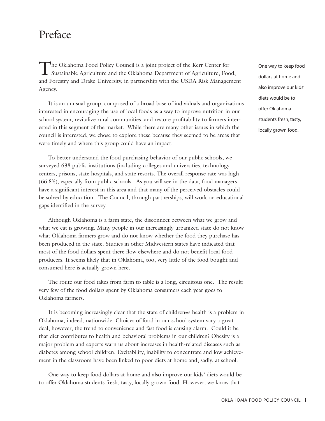## Preface

The Oklahoma Food Policy Council is a joint project of the Kerr Center for Sustainable Agriculture and the Oklahoma Department of Agriculture, Food, and Forestry and Drake University, in partnership with the USDA Risk Management Agency.

It is an unusual group, composed of a broad base of individuals and organizations interested in encouraging the use of local foods as a way to improve nutrition in our school system, revitalize rural communities, and restore profitability to farmers interested in this segment of the market. While there are many other issues in which the council is interested, we chose to explore these because they seemed to be areas that were timely and where this group could have an impact.

To better understand the food purchasing behavior of our public schools, we surveyed 638 public institutions (including colleges and universities, technology centers, prisons, state hospitals, and state resorts. The overall response rate was high (66.8%), especially from public schools. As you will see in the data, food managers have a significant interest in this area and that many of the perceived obstacles could be solved by education. The Council, through partnerships, will work on educational gaps identified in the survey.

Although Oklahoma is a farm state, the disconnect between what we grow and what we eat is growing. Many people in our increasingly urbanized state do not know what Oklahoma farmers grow and do not know whether the food they purchase has been produced in the state. Studies in other Midwestern states have indicated that most of the food dollars spent there flow elsewhere and do not benefit local food producers. It seems likely that in Oklahoma, too, very little of the food bought and consumed here is actually grown here.

The route our food takes from farm to table is a long, circuitous one. The result: very few of the food dollars spent by Oklahoma consumers each year goes to Oklahoma farmers.

It is becoming increasingly clear that the state of children=s health is a problem in Oklahoma, indeed, nationwide. Choices of food in our school system vary a great deal, however, the trend to convenience and fast food is causing alarm. Could it be that diet contributes to health and behavioral problems in our children? Obesity is a major problem and experts warn us about increases in health-related diseases such as diabetes among school children. Excitability, inability to concentrate and low achievement in the classroom have been linked to poor diets at home and, sadly, at school.

One way to keep food dollars at home and also improve our kids' diets would be to offer Oklahoma students fresh, tasty, locally grown food. However, we know that

One way to keep food dollars at home and also improve our kids' diets would be to offer Oklahoma students fresh, tasty, locally grown food.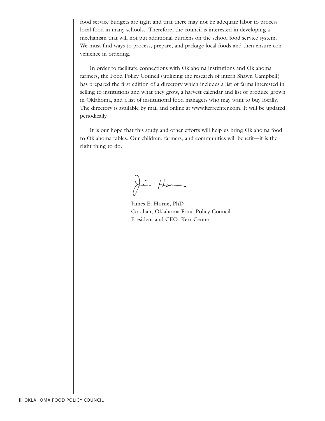food service budgets are tight and that there may not be adequate labor to process local food in many schools. Therefore, the council is interested in developing a mechanism that will not put additional burdens on the school food service system. We must find ways to process, prepare, and package local foods and then ensure convenience in ordering.

In order to facilitate connections with Oklahoma institutions and Oklahoma farmers, the Food Policy Council (utilizing the research of intern Shawn Campbell) has prepared the first edition of a directory which includes a list of farms interested in selling to institutions and what they grow, a harvest calendar and list of produce grown in Oklahoma, and a list of institutional food managers who may want to buy locally. The directory is available by mail and online at www.kerrcenter.com. It will be updated periodically.

It is our hope that this study and other efforts will help us bring Oklahoma food to Oklahoma tables. Our children, farmers, and communities will benefit—it is the right thing to do.

Jin Home

James E. Horne, PhD Co-chair, Oklahoma Food Policy Council President and CEO, Kerr Center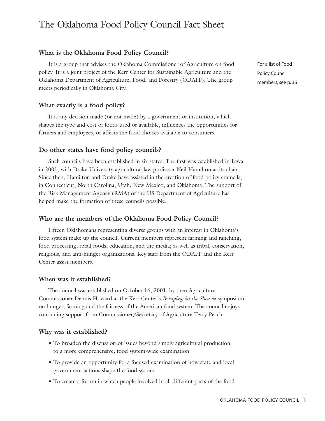## The Oklahoma Food Policy Council Fact Sheet

## **What is the Oklahoma Food Policy Council?**

It is a group that advises the Oklahoma Commissioner of Agriculture on food policy. It is a joint project of the Kerr Center for Sustainable Agriculture and the Oklahoma Department of Agriculture, Food, and Forestry (ODAFF). The group meets periodically in Oklahoma City.

### **What exactly is a food policy?**

It is any decision made (or not made) by a government or institution, which shapes the type and cost of foods used or available, influences the opportunities for farmers and employees, or affects the food choices available to consumers.

## **Do other states have food policy councils?**

Such councils have been established in six states. The first was established in Iowa in 2001, with Drake University agricultural law professor Neil Hamilton as its chair. Since then, Hamilton and Drake have assisted in the creation of food policy councils, in Connecticut, North Carolina, Utah, New Mexico, and Oklahoma. The support of the Risk Management Agency (RMA) of the US Department of Agriculture has helped make the formation of these councils possible.

## **Who are the members of the Oklahoma Food Policy Council?**

Fifteen Oklahomans representing diverse groups with an interest in Oklahoma's food system make up the council. Current members represent farming and ranching, food processing, retail foods, education, and the media; as well as tribal, conservation, religious, and anti-hunger organizations. Key staff from the ODAFF and the Kerr Center assist members.

### **When was it established?**

The council was established on October 16, 2001, by then Agriculture Commissioner Dennis Howard at the Kerr Center's *Bringing in the Sheaves* symposium on hunger, farming and the fairness of the American food system. The council enjoys continuing support from Commissioner/Secretary of Agriculture Terry Peach.

### **Why was it established?**

- To broaden the discussion of issues beyond simply agricultural production to a more comprehensive, food system-wide examination
- To provide an opportunity for a focused examination of how state and local government actions shape the food system
- To create a forum in which people involved in all different parts of the food

For a list of Food Policy Council members, see p. 36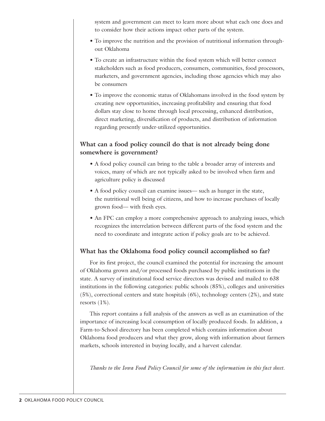system and government can meet to learn more about what each one does and to consider how their actions impact other parts of the system.

- To improve the nutrition and the provision of nutritional information throughout Oklahoma
- To create an infrastructure within the food system which will better connect stakeholders such as food producers, consumers, communities, food processors, marketers, and government agencies, including those agencies which may also be consumers
- To improve the economic status of Oklahomans involved in the food system by creating new opportunities, increasing profitability and ensuring that food dollars stay close to home through local processing, enhanced distribution, direct marketing, diversification of products, and distribution of information regarding presently under-utilized opportunities.

## **What can a food policy council do that is not already being done somewhere is government?**

- A food policy council can bring to the table a broader array of interests and voices, many of which are not typically asked to be involved when farm and agriculture policy is discussed
- A food policy council can examine issues— such as hunger in the state, the nutritional well being of citizens, and how to increase purchases of locally grown food— with fresh eyes.
- An FPC can employ a more comprehensive approach to analyzing issues, which recognizes the interrelation between different parts of the food system and the need to coordinate and integrate action if policy goals are to be achieved.

## **What has the Oklahoma food policy council accomplished so far?**

For its first project, the council examined the potential for increasing the amount of Oklahoma grown and/or processed foods purchased by public institutions in the state. A survey of institutional food service directors was devised and mailed to 638 institutions in the following categories: public schools (85%), colleges and universities (5%), correctional centers and state hospitals (6%), technology centers (2%), and state resorts (1%).

This report contains a full analysis of the answers as well as an examination of the importance of increasing local consumption of locally produced foods. In addition, a Farm-to-School directory has been completed which contains information about Oklahoma food producers and what they grow, along with information about farmers markets, schools interested in buying locally, and a harvest calendar.

*Thanks to the Iowa Food Policy Council for some of the information in this fact sheet.*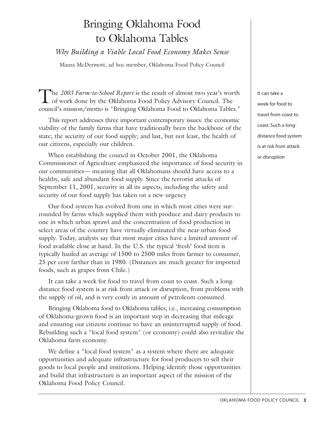## Bringing Oklahoma Food to Oklahoma Tables

## *Why Building a Viable Local Food Economy Makes Sense*

Maura McDermott, ad hoc member, Oklahoma Food Policy Council

The *2003 Farm-to-School Report* is the result of almost two year's worth of work done by the Oklahoma Food Policy Advisory Council. The council's mission/motto is "Bringing Oklahoma Food to Oklahoma Tables."

This report addresses three important contemporary issues: the economic viability of the family farms that have traditionally been the backbone of the state; the security of our food supply; and last, but not least, the health of our citizens, especially our children.

When establishing the council in October 2001, the Oklahoma Commissioner of Agriculture emphasized the importance of food security in our communities— meaning that all Oklahomans should have access to a healthy, safe and abundant food supply. Since the terrorist attacks of September 11, 2001, security in all its aspects, including the safety and security of our food supply has taken on a new urgency

Our food system has evolved from one in which most cities were surrounded by farms which supplied them with produce and dairy products to one in which urban sprawl and the concentration of food production in select areas of the country have virtually eliminated the near-urban food supply. Today, analysts say that most major cities have a limited amount of food available close at hand. In the U.S. the typical 'fresh' food item is typically hauled an average of 1500 to 2500 miles from farmer to consumer, 25 per cent farther than in 1980. (Distances are much greater for imported foods, such as grapes from Chile.)

It can take a week for food to travel from coast to coast. Such a longdistance food system is at risk from attack or disruption, from problems with the supply of oil, and is very costly in amount of petroleum consumed.

Bringing Oklahoma food to Oklahoma tables; i.e., increasing consumption of Oklahoma-grown food is an important step in decreasing that mileage and ensuring our citizens continue to have an uninterrupted supply of food. Rebuilding such a "local food system" (or economy) could also revitalize the Oklahoma farm economy.

We define a "local food system" as a system where there are adequate opportunities and adequate infrastructure for food producers to sell their goods to local people and institutions. Helping identify those opportunities and build that infrastructure is an important aspect of the mission of the Oklahoma Food Policy Council.

It can take a week for food to travel from coast to coast. Such a longdistance food system is at risk from attack or disruption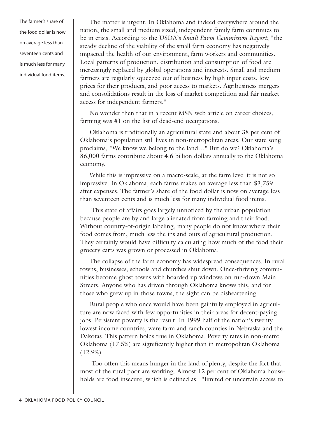The farmer's share of the food dollar is now on average less than seventeen cents and is much less for many individual food items.

The matter is urgent. In Oklahoma and indeed everywhere around the nation, the small and medium sized, independent family farm continues to be in crisis. According to the USDA's *Small Farm Commission Report*, "the steady decline of the viability of the small farm economy has negatively impacted the health of our environment, farm workers and communities. Local patterns of production, distribution and consumption of food are increasingly replaced by global operations and interests. Small and medium farmers are regularly squeezed out of business by high input costs, low prices for their products, and poor access to markets. Agribusiness mergers and consolidations result in the loss of market competition and fair market access for independent farmers."

No wonder then that in a recent MSN web article on career choices, farming was #1 on the list of dead-end occupations.

Oklahoma is traditionally an agricultural state and about 38 per cent of Oklahoma's population still lives in non-metropolitan areas. Our state song proclaims, "We know we belong to the land…" But do we? Oklahoma's 86,000 farms contribute about 4.6 billion dollars annually to the Oklahoma economy.

While this is impressive on a macro-scale, at the farm level it is not so impressive. In Oklahoma, each farms makes on average less than \$3,759 after expenses. The farmer's share of the food dollar is now on average less than seventeen cents and is much less for many individual food items.

This state of affairs goes largely unnoticed by the urban population because people are by and large alienated from farming and their food. Without country-of-origin labeling, many people do not know where their food comes from, much less the ins and outs of agricultural production. They certainly would have difficulty calculating how much of the food their grocery carts was grown or processed in Oklahoma.

The collapse of the farm economy has widespread consequences. In rural towns, businesses, schools and churches shut down. Once-thriving communities become ghost towns with boarded up windows on run-down Main Streets. Anyone who has driven through Oklahoma knows this, and for those who grew up in those towns, the sight can be disheartening.

Rural people who once would have been gainfully employed in agriculture are now faced with few opportunities in their areas for decent-paying jobs. Persistent poverty is the result. In 1999 half of the nation's twenty lowest income countries, were farm and ranch counties in Nebraska and the Dakotas. This pattern holds true in Oklahoma. Poverty rates in non-metro Oklahoma (17.5%) are significantly higher than in metropolitan Oklahoma  $(12.9\%).$ 

Too often this means hunger in the land of plenty, despite the fact that most of the rural poor are working. Almost 12 per cent of Oklahoma households are food insecure, which is defined as: "limited or uncertain access to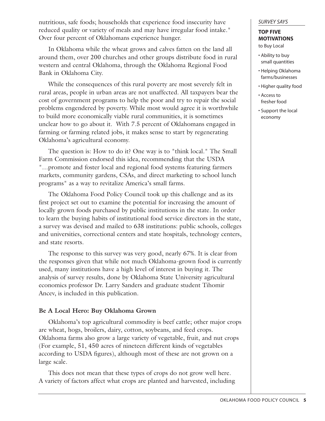nutritious, safe foods; households that experience food insecurity have reduced quality or variety of meals and may have irregular food intake." Over four percent of Oklahomans experience hunger.

In Oklahoma while the wheat grows and calves fatten on the land all around them, over 200 churches and other groups distribute food in rural western and central Oklahoma, through the Oklahoma Regional Food Bank in Oklahoma City.

While the consequences of this rural poverty are most severely felt in rural areas, people in urban areas are not unaffected. All taxpayers bear the cost of government programs to help the poor and try to repair the social problems engendered by poverty. While most would agree it is worthwhile to build more economically viable rural communities, it is sometimes unclear how to go about it. With 7.5 percent of Oklahomans engaged in farming or farming related jobs, it makes sense to start by regenerating Oklahoma's agricultural economy.

The question is: How to do it? One way is to "think local." The Small Farm Commission endorsed this idea, recommending that the USDA "…promote and foster local and regional food systems featuring farmers markets, community gardens, CSAs, and direct marketing to school lunch programs" as a way to revitalize America's small farms.

The Oklahoma Food Policy Council took up this challenge and as its first project set out to examine the potential for increasing the amount of locally grown foods purchased by public institutions in the state. In order to learn the buying habits of institutional food service directors in the state, a survey was devised and mailed to 638 institutions: public schools, colleges and universities, correctional centers and state hospitals, technology centers, and state resorts.

The response to this survey was very good, nearly 67%. It is clear from the responses given that while not much Oklahoma-grown food is currently used, many institutions have a high level of interest in buying it. The analysis of survey results, done by Oklahoma State University agricultural economics professor Dr. Larry Sanders and graduate student Tihomir Ancev, is included in this publication.

## **Be A Local Hero: Buy Oklahoma Grown**

Oklahoma's top agricultural commodity is beef cattle; other major crops are wheat, hogs, broilers, dairy, cotton, soybeans, and feed crops. Oklahoma farms also grow a large variety of vegetable, fruit, and nut crops (For example, 51, 450 acres of nineteen different kinds of vegetables according to USDA figures), although most of these are not grown on a large scale.

This does not mean that these types of crops do not grow well here. A variety of factors affect what crops are planted and harvested, including

#### *SURVEY SAYS*

#### **TOP FIVE MOTIVATIONS** to Buy Local

- Ability to buy small quantities
- Helping Oklahoma farms/businesses
- Higher quality food
- Access to fresher food
- Support the local economy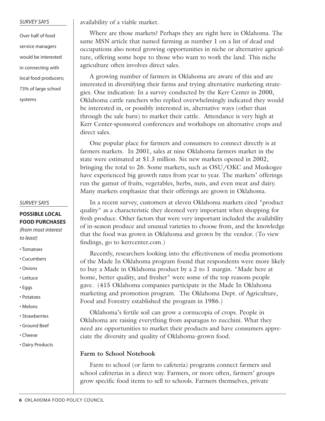#### *SURVEY SAYS*

Over half of food service managers would be interested in connecting with local food producers; 73% of large school systems

#### *SURVEY SAYS*

## **POSSIBLE LOCAL FOOD PURCHASES**

*(from most interest to least)*

- Tomatoes
- Cucumbers
- Onions
- Lettuce
- Eggs
- Potatoes
- Melons
- Strawberries
- Ground Beef
- Cheese
- Dairy Products

availability of a viable market.

Where are those markets? Perhaps they are right here in Oklahoma. The same MSN article that named farming as number 1 on a list of dead end occupations also noted growing opportunities in niche or alternative agriculture, offering some hope to those who want to work the land. This niche agriculture often involves direct sales.

A growing number of farmers in Oklahoma are aware of this and are interested in diversifying their farms and trying alternative marketing strategies. One indication: In a survey conducted by the Kerr Center in 2000, Oklahoma cattle ranchers who replied overwhelmingly indicated they would be interested in, or possibly interested in, alternative ways (other than through the sale barn) to market their cattle. Attendance is very high at Kerr Center-sponsored conferences and workshops on alternative crops and direct sales.

One popular place for farmers and consumers to connect directly is at farmers markets. In 2001, sales at nine Oklahoma farmers market in the state were estimated at \$1.3 million. Six new markets opened in 2002, bringing the total to 26. Some markets, such as OSU/OKC and Muskogee have experienced big growth rates from year to year. The markets' offerings run the gamut of fruits, vegetables, herbs, nuts, and even meat and dairy. Many markets emphasize that their offerings are grown in Oklahoma.

In a recent survey, customers at eleven Oklahoma markets cited "product quality" as a characteristic they deemed very important when shopping for fresh produce. Other factors that were very important included the availability of in-season produce and unusual varieties to choose from, and the knowledge that the food was grown in Oklahoma and grown by the vendor. (To view findings, go to kerrcenter.com.)

Recently, researchers looking into the effectiveness of media promotions of the Made In Oklahoma program found that respondents were more likely to buy a Made in Oklahoma product by a 2 to 1 margin. "Made here at home, better quality, and fresher" were some of the top reasons people gave. (415 Oklahoma companies participate in the Made In Oklahoma marketing and promotion program. The Oklahoma Dept. of Agriculture, Food and Forestry established the program in 1986.)

Oklahoma's fertile soil can grow a cornucopia of crops. People in Oklahoma are raising everything from asparagus to zucchini. What they need are opportunities to market their products and have consumers appreciate the diversity and quality of Oklahoma-grown food.

#### **Farm to School Notebook**

Farm to school (or farm to cafeteria) programs connect farmers and school cafeterias in a direct way. Farmers, or more often, farmers' groups grow specific food items to sell to schools. Farmers themselves, private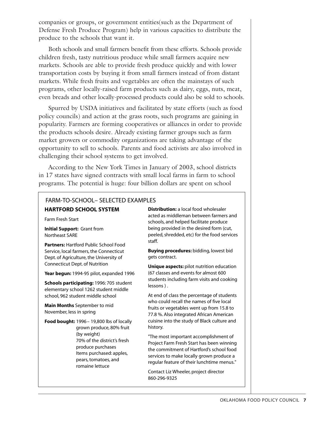companies or groups, or government entities(such as the Department of Defense Fresh Produce Program) help in various capacities to distribute the produce to the schools that want it.

Both schools and small farmers benefit from these efforts. Schools provide children fresh, tasty nutritious produce while small farmers acquire new markets. Schools are able to provide fresh produce quickly and with lower transportation costs by buying it from small farmers instead of from distant markets. While fresh fruits and vegetables are often the mainstays of such programs, other locally-raised farm products such as dairy, eggs, nuts, meat, even breads and other locally-processed products could also be sold to schools.

Spurred by USDA initiatives and facilitated by state efforts (such as food policy councils) and action at the grass roots, such programs are gaining in popularity. Farmers are forming cooperatives or alliances in order to provide the products schools desire. Already existing farmer groups such as farm market growers or commodity organizations are taking advantage of the opportunity to sell to schools. Parents and food activists are also involved in challenging their school systems to get involved.

According to the New York Times in January of 2003, school districts in 17 states have signed contracts with small local farms in farm to school programs. The potential is huge: four billion dollars are spent on school

## FARM-TO-SCHOOL– SELECTED EXAMPLES

#### **HARTFORD SCHOOL SYSTEM**

Farm Fresh Start

**Initial Support:** Grant from Northeast SARE

**Partners:** Hartford Public School Food Service, local farmers, the Connecticut Dept. of Agriculture, the University of Connecticut Dept. of Nutrition

**Year begun:** 1994-95 pilot, expanded 1996

**Schools participating:** 1996: 705 student elementary school 1262 student middle school, 962 student middle school

**Main Months** September to mid November, less in spring

**Food bought:** 1996– 19,800 lbs of locally grown produce, 80% fruit (by weight) 70% of the district's fresh produce purchases Items purchased: apples, pears, tomatoes, and romaine lettuce

**Distribution:** a local food wholesaler acted as middleman between farmers and schools, and helped facilitate produce being provided in the desired form (cut, peeled, shredded, etc) for the food services staff.

**Buying procedures:** bidding, lowest bid gets contract.

**Unique aspects:** pilot nutrition education (67 classes and events for almost 600 students including farm visits and cooking lessons ) .

At end of class the percentage of students who could recall the names of five local fruits or vegetables went up from 15.8 to 77.8 %. Also integrated African American cuisine into the study of Black culture and history.

"The most important accomplishment of Project Farm Fresh Start has been winning the commitment of Hartford's school food services to make locally grown produce a regular feature of their lunchtime menus."

Contact Liz Wheeler, project director 860-296-9325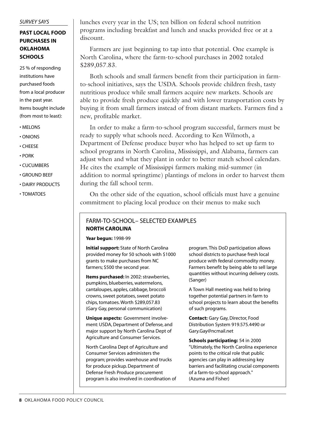#### *SURVEY SAYS*

## **PAST LOCAL FOOD PURCHASES IN OKLAHOMA SCHOOLS**

25 % of responding institutions have purchased foods from a local producer in the past year. Items bought include (from most to least):

- MELONS
- ONIONS
- CHEESE
- PORK
- CUCUMBERS
- GROUND BEEF
- DAIRY PRODUCTS
- TOMATOES

lunches every year in the US; ten billion on federal school nutrition programs including breakfast and lunch and snacks provided free or at a discount.

Farmers are just beginning to tap into that potential. One example is North Carolina, where the farm-to-school purchases in 2002 totaled \$289,057.83.

Both schools and small farmers benefit from their participation in farmto-school initiatives, says the USDA. Schools provide children fresh, tasty nutritious produce while small farmers acquire new markets. Schools are able to provide fresh produce quickly and with lower transportation costs by buying it from small farmers instead of from distant markets. Farmers find a new, profitable market.

In order to make a farm-to-school program successful, farmers must be ready to supply what schools need. According to Ken Wilmoth, a Department of Defense produce buyer who has helped to set up farm to school programs in North Carolina, Mississippi, and Alabama, farmers can adjust when and what they plant in order to better match school calendars. He cites the example of Mississippi farmers making mid-summer (in addition to normal springtime) plantings of melons in order to harvest them during the fall school term.

On the other side of the equation, school officials must have a genuine commitment to placing local produce on their menus to make such

## **NORTH CAROLINA** FARM-TO-SCHOOL– SELECTED EXAMPLES

**Year begun:** 1998-99

**Initial support:** State of North Carolina provided money for 50 schools with \$1000 grants to make purchases from NC farmers; \$500 the second year.

**Items purchased:** In 2002: strawberries, pumpkins, blueberries, watermelons, cantaloupes, apples, cabbage, broccoli crowns, sweet potatoes, sweet potato chips, tomatoes. Worth \$289,057.83 (Gary Gay, personal communication)

**Unique aspects:** Government involvement: USDA, Department of Defense, and major support by North Carolina Dept of Agriculture and Consumer Services.

North Carolina Dept of Agriculture and Consumer Services administers the program; provides warehouse and trucks for produce pickup. Department of Defense Fresh Produce procurement program is also involved in coordination of

program. This DoD participation allows school districts to purchase fresh local produce with federal commodity money. Farmers benefit by being able to sell large quantities without incurring delivery costs. (Sanger)

A Town Hall meeting was held to bring together potential partners in farm to school projects to learn about the benefits of such programs.

**Contact:** Gary Gay, Director, Food Distribution System 919.575.4490 or Gary.Gay@ncmail.net

**Schools participating:** 54 in 2000 "Ultimately, the North Carolina experience points to the critical role that public agencies can play in addressing key barriers and facilitating crucial components of a farm-to-school approach." (Azuma and Fisher)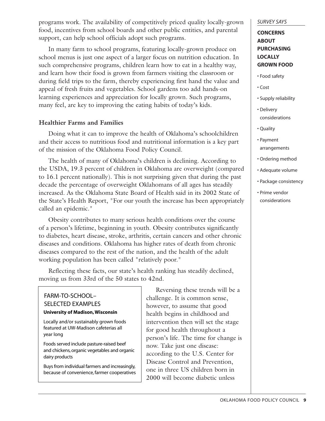programs work. The availability of competitively priced quality locally-grown food, incentives from school boards and other public entities, and parental support, can help school officials adopt such programs.

In many farm to school programs, featuring locally-grown produce on school menus is just one aspect of a larger focus on nutrition education. In such comprehensive programs, children learn how to eat in a healthy way, and learn how their food is grown from farmers visiting the classroom or during field trips to the farm, thereby experiencing first hand the value and appeal of fresh fruits and vegetables. School gardens too add hands-on learning experiences and appreciation for locally grown. Such programs, many feel, are key to improving the eating habits of today's kids.

## **Healthier Farms and Families**

Doing what it can to improve the health of Oklahoma's schoolchildren and their access to nutritious food and nutritional information is a key part of the mission of the Oklahoma Food Policy Council.

The health of many of Oklahoma's children is declining. According to the USDA, 19.3 percent of children in Oklahoma are overweight (compared to 16.1 percent nationally). This is not surprising given that during the past decade the percentage of overweight Oklahomans of all ages has steadily increased. As the Oklahoma State Board of Health said in its 2002 State of the State's Health Report, "For our youth the increase has been appropriately called an epidemic."

Obesity contributes to many serious health conditions over the course of a person's lifetime, beginning in youth. Obesity contributes significantly to diabetes, heart disease, stroke, arthritis, certain cancers and other chronic diseases and conditions. Oklahoma has higher rates of death from chronic diseases compared to the rest of the nation, and the health of the adult working population has been called "relatively poor."

Reflecting these facts, our state's health ranking has steadily declined, moving us from 33rd of the 50 states to 42nd.

## **University of Madison, Wisconsin** FARM-TO-SCHOOL– SELECTED EXAMPLES

Locally and/or sustainably grown foods featured at UW-Madison cafeterias all year long

Foods served include pasture-raised beef and chickens, organic vegetables and organic dairy products

Buys from individual farmers and increasingly, because of convenience, farmer cooperatives

Reversing these trends will be a challenge. It is common sense, however, to assume that good health begins in childhood and intervention then will set the stage for good health throughout a person's life. The time for change is now. Take just one disease: according to the U.S. Center for Disease Control and Prevention, one in three US children born in 2000 will become diabetic unless

#### *SURVEY SAYS*

## **CONCERNS ABOUT PURCHASING LOCALLY GROWN FOOD**

- Food safety
- Cost
- Supply reliability
- Delivery considerations
- Quality
- Payment arrangements
- Ordering method
- Adequate volume
- Package consistency
- Prime vendor considerations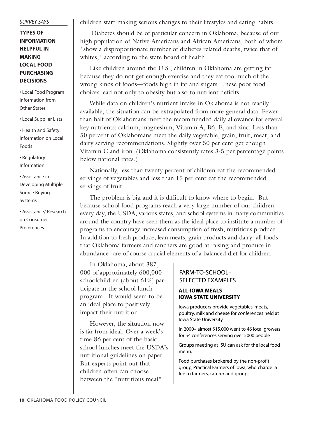#### *SURVEY SAYS*

## **TYPES OF INFORMATION HELPFUL IN MAKING LOCAL FOOD PURCHASING DECISIONS**

• Local Food Program Information from Other States

• Local Supplier Lists

• Health and Safety Information on Local Foods

• Regulatory Information

• Assistance in Developing Multiple Source Buying Systems

• Assistance/ Research on Consumer Preferences

children start making serious changes to their lifestyles and eating habits.

Diabetes should be of particular concern in Oklahoma, because of our high population of Native Americans and African Americans, both of whom "show a disproportionate number of diabetes related deaths, twice that of whites," according to the state board of health.

Like children around the U.S., children in Oklahoma are getting fat because they do not get enough exercise and they eat too much of the wrong kinds of foods—foods high in fat and sugars. These poor food choices lead not only to obesity but also to nutrient deficits.

While data on children's nutrient intake in Oklahoma is not readily available, the situation can be extrapolated from more general data. Fewer than half of Oklahomans meet the recommended daily allowance for several key nutrients: calcium, magnesium, Vitamin A, B6, E, and zinc. Less than 50 percent of Oklahomans meet the daily vegetable, grain, fruit, meat, and dairy serving recommendations. Slightly over 50 per cent get enough Vitamin C and iron. (Oklahoma consistently rates 3-5 per percentage points below national rates.)

Nationally, less than twenty percent of children eat the recommended servings of vegetables and less than 15 per cent eat the recommended servings of fruit.

The problem is big and it is difficult to know where to begin. But because school food programs reach a very large number of our children every day, the USDA, various states, and school systems in many communities around the country have seen them as the ideal place to institute a number of programs to encourage increased consumption of fresh, nutritious produce. In addition to fresh produce, lean meats, grain products and dairy–all foods that Oklahoma farmers and ranchers are good at raising and produce in abundance–are of course crucial elements of a balanced diet for children.

In Oklahoma, about 387, 000 of approximately 600,000 schoolchildren (about 61%) participate in the school lunch program. It would seem to be an ideal place to positively impact their nutrition.

However, the situation now is far from ideal. Over a week's time 86 per cent of the basic school lunches meet the USDA's nutritional guidelines on paper. But experts point out that children often can choose between the "nutritious meal"

### FARM-TO-SCHOOL– SELECTED EXAMPLES

#### **ALL-IOWA MEALS IOWA STATE UNIVERSITY**

Iowa producers provide vegetables, meats, poultry, milk and cheese for conferences held at Iowa State University

In 2000– almost \$15,000 went to 46 local growers for 54 conferences serving over 5000 people

Groups meeting at ISU can ask for the local food menu.

Food purchases brokered by the non-profit group, Practical Farmers of Iowa, who charge a fee to farmers, caterer and groups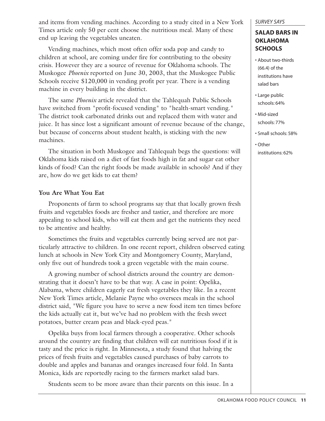and items from vending machines. According to a study cited in a New York Times article only 50 per cent choose the nutritious meal. Many of these end up leaving the vegetables uneaten.

Vending machines, which most often offer soda pop and candy to children at school, are coming under fire for contributing to the obesity crisis. However they are a source of revenue for Oklahoma schools. The Muskogee *Phoenix* reported on June 30, 2003, that the Muskogee Public Schools receive \$120,000 in vending profit per year. There is a vending machine in every building in the district.

The same *Phoenix* article revealed that the Tahlequah Public Schools have switched from "profit-focused vending" to "health-smart vending." The district took carbonated drinks out and replaced them with water and juice. It has since lost a significant amount of revenue because of the change, but because of concerns about student health, is sticking with the new machines.

The situation in both Muskogee and Tahlequah begs the questions: will Oklahoma kids raised on a diet of fast foods high in fat and sugar eat other kinds of food? Can the right foods be made available in schools? And if they are, how do we get kids to eat them?

## **You Are What You Eat**

Proponents of farm to school programs say that that locally grown fresh fruits and vegetables foods are fresher and tastier, and therefore are more appealing to school kids, who will eat them and get the nutrients they need to be attentive and healthy.

Sometimes the fruits and vegetables currently being served are not particularly attractive to children. In one recent report, children observed eating lunch at schools in New York City and Montgomery County, Maryland, only five out of hundreds took a green vegetable with the main course.

A growing number of school districts around the country are demonstrating that it doesn't have to be that way. A case in point: Opelika, Alabama, where children eagerly eat fresh vegetables they like. In a recent New York Times article, Melanie Payne who oversees meals in the school district said, "We figure you have to serve a new food item ten times before the kids actually eat it, but we've had no problem with the fresh sweet potatoes, butter cream peas and black-eyed peas."

Opelika buys from local farmers through a cooperative. Other schools around the country are finding that children will eat nutritious food if it is tasty and the price is right. In Minnesota, a study found that halving the prices of fresh fruits and vegetables caused purchases of baby carrots to double and apples and bananas and oranges increased four fold. In Santa Monica, kids are reportedly racing to the farmers market salad bars.

Students seem to be more aware than their parents on this issue. In a

#### *SURVEY SAYS*

## **SALAD BARS IN OKLAHOMA SCHOOLS**

- About two-thirds (66.4) of the institutions have salad bars
- Large public schools: 64%
- Mid-sized schools: 77%
- Small schools: 58%
- Other institutions: 62%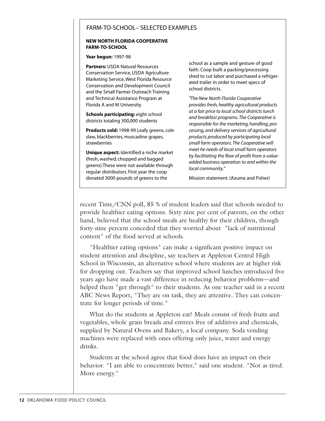## FARM-TO-SCHOOL– SELECTED EXAMPLES

#### **NEW NORTH FLORIDA COOPERATIVE FARM-TO-SCHOOL**

#### **Year begun:** 1997-98

**Partners:** USDA Natural Resources Conservation Service, USDA Agriculture Marketing Service, West Florida Resource Conservation and Development Council and the Small Farmer Outreach Training and Technical Assistance Program at Florida A and M University

**Schools participating:** eight school districts totaling 300,000 students

**Products sold:** 1998-99 Leafy greens, cole slaw, blackberries, muscadine grapes, strawberries

**Unique aspect:** Identified a niche market (fresh, washed, chopped and bagged greens).These were not available through regular distributors. First year the coop donated 3000 pounds of greens to the

school as a sample and gesture of good faith. Coop built a packing/processing shed to cut labor and purchased a refrigerated trailer in order to meet specs of school districts.

*"The New North Florida Cooperative provides fresh, healthy agricultural products at a fair price to local school districts lunch and breakfast programs. The Cooperative is responsible for the marketing, handling, processing, and delivery services of agricultural products produced by participating local small farm operators. The Cooperative will meet he needs of local small farm operators by facilitating the flow of profit from a valueadded business operation to and within the local community."*

Mission statement. (Azuma and Fisher)

recent Time/CNN poll, 85 % of student leaders said that schools needed to provide healthier eating options. Sixty nine per cent of parents, on the other hand, believed that the school meals are healthy for their children, though forty-nine percent conceded that they worried about "lack of nutritional content" of the food served at schools.

"Healthier eating options" can make a significant positive impact on student attention and discipline, say teachers at Appleton Central High School in Wisconsin, an alternative school where students are at higher risk for dropping out. Teachers say that improved school lunches introduced five years ago have made a vast difference in reducing behavior problems—and helped them "get through" to their students. As one teacher said in a recent ABC News Report, "They are on task, they are attentive. They can concentrate for longer periods of time."

What do the students at Appleton eat? Meals consist of fresh fruits and vegetables, whole grain breads and entrees free of additives and chemicals, supplied by Natural Ovens and Bakery, a local company. Soda vending machines were replaced with ones offering only juice, water and energy drinks.

Students at the school agree that food does have an impact on their behavior. "I am able to concentrate better," said one student. "Not as tired. More energy."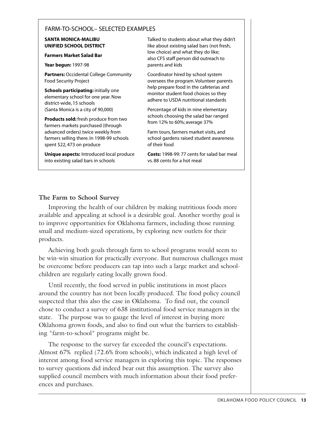## FARM-TO-SCHOOL– SELECTED EXAMPLES

#### **SANTA MONICA-MALIBU UNIFIED SCHOOL DISTRICT**

#### **Farmers Market Salad Bar**

**Year begun:** 1997-98

**Partners:** Occidental College Community Food Security Project

**Schools participating:** initially one elementary school for one year. Now district-wide, 15 schools (Santa Monica is a city of 90,000)

**Products sold:** fresh produce from two farmers markets purchased (through advanced orders) twice weekly from farmers selling there. In 1998-99 schools spent \$22, 473 on produce

**Unique aspects:** Introduced local produce into existing salad bars in schools

Talked to students about what they didn't like about existing salad bars (not fresh, low choice) and what they do like; also CFS staff person did outreach to parents and kids

Coordinator hired by school system oversees the program. Volunteer parents help prepare food in the cafeterias and monitor student food choices so they adhere to USDA nutritional standards

Percentage of kids in nine elementary schools choosing the salad bar ranged from 12% to 60%; average 37%

Farm tours, farmers market visits, and school gardens raised student awareness of their food

**Costs:** 1998-99: 77 cents for salad bar meal vs. 88 cents for a hot meal

## **The Farm to School Survey**

Improving the health of our children by making nutritious foods more available and appealing at school is a desirable goal. Another worthy goal is to improve opportunities for Oklahoma farmers, including those running small and medium-sized operations, by exploring new outlets for their products.

Achieving both goals through farm to school programs would seem to be win-win situation for practically everyone. But numerous challenges must be overcome before producers can tap into such a large market and schoolchildren are regularly eating locally grown food.

Until recently, the food served in public institutions in most places around the country has not been locally produced. The food policy council suspected that this also the case in Oklahoma. To find out, the council chose to conduct a survey of 638 institutional food service managers in the state. The purpose was to gauge the level of interest in buying more Oklahoma grown foods, and also to find out what the barriers to establishing "farm-to-school" programs might be.

The response to the survey far exceeded the council's expectations. Almost 67% replied (72.6% from schools), which indicated a high level of interest among food service managers in exploring this topic. The responses to survey questions did indeed bear out this assumption. The survey also supplied council members with much information about their food preferences and purchases.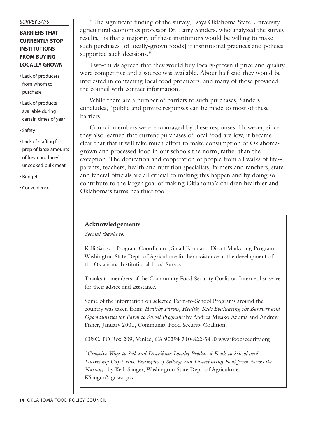#### *SURVEY SAYS*

## **BARRIERS THAT CURRENTLY STOP INSTITUTIONS FROM BUYING LOCALLY GROWN**

- Lack of producers from whom to purchase
- Lack of products available during certain times of year
- Safety
- Lack of staffing for prep of large amounts of fresh produce/ uncooked bulk meat
- Budget
- Convenience

"The significant finding of the survey," says Oklahoma State University agricultural economics professor Dr. Larry Sanders, who analyzed the survey results, "is that a majority of these institutions would be willing to make such purchases [of locally-grown foods] if institutional practices and policies supported such decisions."

Two-thirds agreed that they would buy locally-grown if price and quality were competitive and a source was available. About half said they would be interested in contacting local food producers, and many of those provided the council with contact information.

While there are a number of barriers to such purchases, Sanders concludes, "public and private responses can be made to most of these barriers…."

Council members were encouraged by these responses. However, since they also learned that current purchases of local food are low, it became clear that that it will take much effort to make consumption of Oklahomagrown and processed food in our schools the norm, rather than the exception. The dedication and cooperation of people from all walks of life- parents, teachers, health and nutrition specialists, farmers and ranchers, state and federal officials are all crucial to making this happen and by doing so contribute to the larger goal of making Oklahoma's children healthier and Oklahoma's farms healthier too.

### **Acknowledgements**

*Special thanks to:*

Kelli Sanger, Program Coordinator, Small Farm and Direct Marketing Program Washington State Dept. of Agriculture for her assistance in the development of the Oklahoma Institutional Food Survey

Thanks to members of the Community Food Security Coalition Internet list-serve for their advice and assistance.

Some of the information on selected Farm-to-School Programs around the country was taken from: *Healthy Farms, Healthy Kids Evaluating the Barriers and Opportunities for Farm to School Programs* by Andrea Misako Azuma and Andrew Fisher, January 2001, Community Food Security Coalition.

CFSC, PO Box 209, Venice, CA 90294 310-822-5410 www.foodsecurity.org

*"Creative Ways to Sell and Distribute Locally Produced Foods to School and University Cafeterias: Examples of Selling and Distributing Food from Across the Nation,*" by Kelli Sanger, Washington State Dept. of Agriculture. KSanger@agr.wa.gov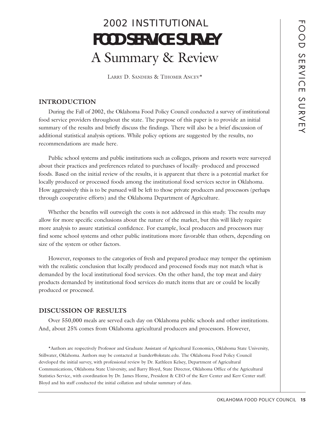# 2002 INSTITUTIONAL **FOOD SERVICE SURVEY** A Summary & Review

LARRY D. SANDERS & TIHOMIR ANCEV\*

### **INTRODUCTION**

During the Fall of 2002, the Oklahoma Food Policy Council conducted a survey of institutional food service providers throughout the state. The purpose of this paper is to provide an initial summary of the results and briefly discuss the findings. There will also be a brief discussion of additional statistical analysis options. While policy options are suggested by the results, no recommendations are made here.

Public school systems and public institutions such as colleges, prisons and resorts were surveyed about their practices and preferences related to purchases of locally- produced and processed foods. Based on the initial review of the results, it is apparent that there is a potential market for locally produced or processed foods among the institutional food services sector in Oklahoma. How aggressively this is to be pursued will be left to those private producers and processors (perhaps through cooperative efforts) and the Oklahoma Department of Agriculture.

Whether the benefits will outweigh the costs is not addressed in this study. The results may allow for more specific conclusions about the nature of the market, but this will likely require more analysis to assure statistical confidence. For example, local producers and processors may find some school systems and other public institutions more favorable than others, depending on size of the system or other factors.

However, responses to the categories of fresh and prepared produce may temper the optimism with the realistic conclusion that locally produced and processed foods may not match what is demanded by the local institutional food services. On the other hand, the top meat and dairy products demanded by institutional food services do match items that are or could be locally produced or processed.

### **DISCUSSION OF RESULTS**

Over 550,000 meals are served each day on Oklahoma public schools and other institutions. And, about 25% comes from Oklahoma agricultural producers and processors. However,

\*Authors are respectively Professor and Graduate Assistant of Agricultural Economics, Oklahoma State University, Stillwater, Oklahoma. Authors may be contacted at 1sander@okstate.edu. The Oklahoma Food Policy Council developed the initial survey, with professional review by Dr. Kathleen Kelsey, Department of Agricultural Communications, Oklahoma State University, and Barry Bloyd, State Director, Oklahoma Office of the Agricultural Statistics Service, with coordination by Dr. James Horne, President & CEO of the Kerr Center and Kerr Center staff. Bloyd and his staff conducted the initial collation and tabular summary of data.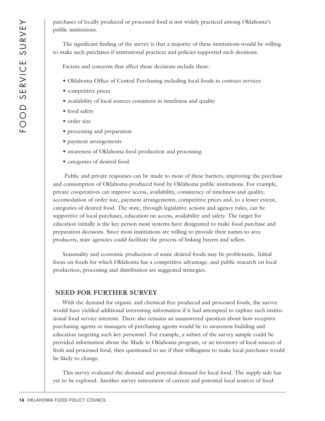purchases of locally produced or processed food is not widely practiced among Oklahoma's public institutions.

The significant finding of the survey is that a majority of these institutions would be willing to make such purchases if institutional practices and policies supported such decisions.

Factors and concerns that affect these decisions include these:

- Oklahoma Office of Central Purchasing including local foods in contract services
- competitive prices
- availability of local sources consistent in timeliness and quality
- food safety
- order size
- processing and preparation
- payment arrangements
- awareness of Oklahoma food production and processing
- categories of desired food.

Public and private responses can be made to most of these barriers, improving the purchase and consumption of Oklahoma-produced food by Oklahoma public institutions. For example, private cooperatives can improve access, availability, consistency of timeliness and quality, accomodation of order size, payment arrangements, competitive prices and, to a lesser extent, categories of desired food. The state, through legislative actions and agency rules, can be supportive of local purchases, education on access, availability and safety. The target for education initially is the key person most systems have designated to make food purchase and preparation decisions. Since most institutions are willing to provide their names to area producers, state agencies could facilitate the process of linking buyers and sellers.

Seasonality and economic production of some desired foods may be problematic. Initial focus on foods for which Oklahoma has a competitive advantage, and public research on local production, processing and distribution are suggested strategies.

### **NEED FOR FURTHER SURVEY**

With the demand for organic and chemical-free produced and processed foods, the survey would have yielded additional interesting information if it had attempted to explore such institutional food service interests. There also remains an unanswered question about how receptive purchasing agents or managers of purchasing agents would be to awareness-building and education targeting such key personnel. For example, a subset of the survey sample could be provided information about the Made in Oklahoma program, or an inventory of local sources of fresh and processed food, then questioned to see if their willingness to make local purchases would be likely to change.

This survey evaluated the demand and potential demand for local food. The supply side has yet to be explored. Another survey instrument of current and potential local sources of food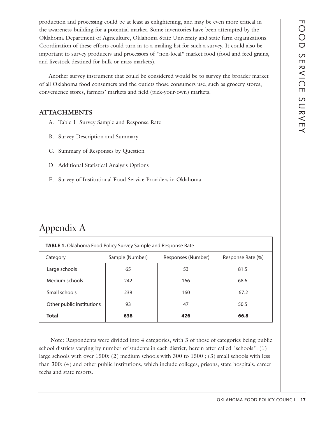production and processing could be at least as enlightening, and may be even more critical in the awareness-building for a potential market. Some inventories have been attempted by the Oklahoma Department of Agriculture, Oklahoma State University and state farm organizations. Coordination of these efforts could turn in to a mailing list for such a survey. It could also be important to survey producers and processors of "non-local" market food (food and feed grains, and livestock destined for bulk or mass markets).

Another survey instrument that could be considered would be to survey the broader market of all Oklahoma food consumers and the outlets those consumers use, such as grocery stores, convenience stores, farmers' markets and field (pick-your-own) markets.

## **ATTACHMENTS**

- A. Table 1. Survey Sample and Response Rate
- B. Survey Description and Summary
- C. Summary of Responses by Question
- D. Additional Statistical Analysis Options
- E. Survey of Institutional Food Service Providers in Oklahoma

## Appendix A

| <b>TABLE 1.</b> Oklahoma Food Policy Survey Sample and Response Rate   |     |     |      |  |  |  |
|------------------------------------------------------------------------|-----|-----|------|--|--|--|
| Sample (Number)<br>Responses (Number)<br>Response Rate (%)<br>Category |     |     |      |  |  |  |
| Large schools                                                          | 65  | 53  | 81.5 |  |  |  |
| Medium schools                                                         | 242 | 166 | 68.6 |  |  |  |
| Small schools                                                          | 238 | 160 | 67.2 |  |  |  |
| Other public institutions                                              | 93  | 47  | 50.5 |  |  |  |
| <b>Total</b>                                                           | 638 | 426 | 66.8 |  |  |  |

Note: Respondents were divided into 4 categories, with 3 of those of categories being public school districts varying by number of students in each district, herein after called "schools": (1) large schools with over 1500; (2) medium schools with 300 to 1500 ; (3) small schools with less than 300; (4) and other public institutions, which include colleges, prisons, state hospitals, career techs and state resorts.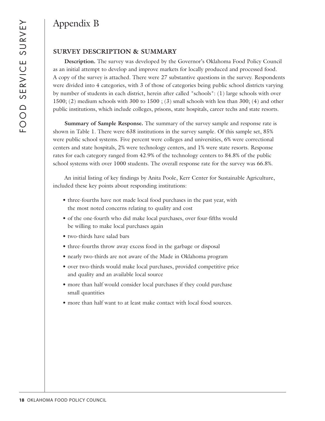## Appendix B

## **SURVEY DESCRIPTION & SUMMARY**

**Description.** The survey was developed by the Governor's Oklahoma Food Policy Council as an initial attempt to develop and improve markets for locally produced and processed food. A copy of the survey is attached. There were 27 substantive questions in the survey. Respondents were divided into 4 categories, with 3 of those of categories being public school districts varying by number of students in each district, herein after called "schools": (1) large schools with over 1500; (2) medium schools with 300 to 1500 ; (3) small schools with less than 300; (4) and other public institutions, which include colleges, prisons, state hospitals, career techs and state resorts.

**Summary of Sample Response.** The summary of the survey sample and response rate is shown in Table 1. There were 638 institutions in the survey sample. Of this sample set, 85% were public school systems. Five percent were colleges and universities, 6% were correctional centers and state hospitals, 2% were technology centers, and 1% were state resorts. Response rates for each category ranged from 42.9% of the technology centers to 84.8% of the public school systems with over 1000 students. The overall response rate for the survey was 66.8%.

An initial listing of key findings by Anita Poole, Kerr Center for Sustainable Agriculture, included these key points about responding institutions:

- three-fourths have not made local food purchases in the past year, with the most noted concerns relating to quality and cost
- of the one-fourth who did make local purchases, over four-fifths would be willing to make local purchases again
- two-thirds have salad bars
- three-fourths throw away excess food in the garbage or disposal
- nearly two-thirds are not aware of the Made in Oklahoma program
- over two-thirds would make local purchases, provided competitive price and quality and an available local source
- more than half would consider local purchases if they could purchase small quantities
- more than half want to at least make contact with local food sources.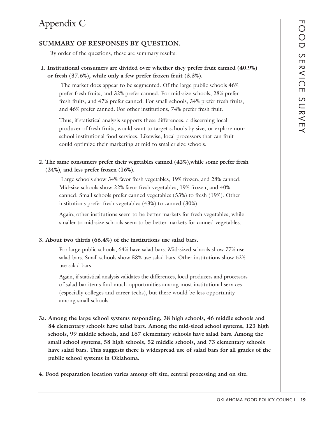## Appendix C

## **SUMMARY OF RESPONSES BY QUESTION.**

By order of the questions, these are summary results:

## **1. Institutional consumers are divided over whether they prefer fruit canned (40.9%) or fresh (37.6%), while only a few prefer frozen fruit (3.3%).**

The market does appear to be segmented. Of the large public schools 46% prefer fresh fruits, and 32% prefer canned. For mid-size schools, 28% prefer fresh fruits, and 47% prefer canned. For small schools, 34% prefer fresh fruits, and 46% prefer canned. For other institutions, 74% prefer fresh fruit.

Thus, if statistical analysis supports these differences, a discerning local producer of fresh fruits, would want to target schools by size, or explore nonschool institutional food services. Likewise, local processors that can fruit could optimize their marketing at mid to smaller size schools.

## **2. The same consumers prefer their vegetables canned (42%),while some prefer fresh (24%), and less prefer frozen (16%).**

Large schools show 34% favor fresh vegetables, 19% frozen, and 28% canned. Mid-size schools show 22% favor fresh vegetables, 19% frozen, and 40% canned. Small schools prefer canned vegetables (53%) to fresh (19%). Other institutions prefer fresh vegetables (43%) to canned (30%).

Again, other institutions seem to be better markets for fresh vegetables, while smaller to mid-size schools seem to be better markets for canned vegetables.

## **3. About two thirds (66.4%) of the institutions use salad bars.**

For large public schools, 64% have salad bars. Mid-sized schools show 77% use salad bars. Small schools show 58% use salad bars. Other institutions show 62% use salad bars.

Again, if statistical analysis validates the differences, local producers and processors of salad bar items find much opportunities among most institutional services (especially colleges and career techs), but there would be less opportunity among small schools.

- **3a. Among the large school systems responding, 38 high schools, 46 middle schools and 84 elementary schools have salad bars. Among the mid-sized school systems, 123 high schools, 99 middle schools, and 167 elementary schools have salad bars. Among the small school systems, 58 high schools, 52 middle schools, and 73 elementary schools have salad bars. This suggests there is widespread use of salad bars for all grades of the public school systems in Oklahoma.**
- **4. Food preparation location varies among off site, central processing and on site.**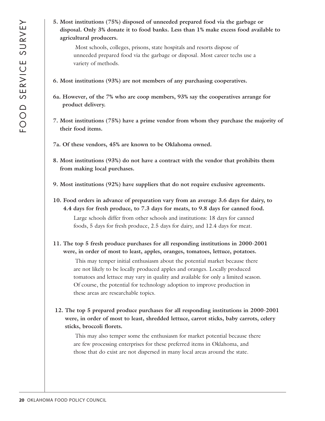**5. Most institutions (75%) disposed of unneeded prepared food via the garbage or disposal. Only 3% donate it to food banks. Less than 1% make excess food available to agricultural producers.**

Most schools, colleges, prisons, state hospitals and resorts dispose of unneeded prepared food via the garbage or disposal. Most career techs use a variety of methods.

- **6. Most institutions (93%) are not members of any purchasing cooperatives.**
- **6a. However, of the 7% who are coop members, 93% say the cooperatives arrange for product delivery.**
- **7. Most institutions (75%) have a prime vendor from whom they purchase the majority of their food items.**
- **7a. Of these vendors, 45% are known to be Oklahoma owned.**
- **8. Most institutions (93%) do not have a contract with the vendor that prohibits them from making local purchases.**
- **9. Most institutions (92%) have suppliers that do not require exclusive agreements.**
- **10. Food orders in advance of preparation vary from an average 3.6 days for dairy, to 4.4 days for fresh produce, to 7.3 days for meats, to 9.8 days for canned food.** Large schools differ from other schools and institutions: 18 days for canned foods, 5 days for fresh produce, 2.5 days for dairy, and 12.4 days for meat.
- **11. The top 5 fresh produce purchases for all responding institutions in 2000-2001 were, in order of most to least, apples, oranges, tomatoes, lettuce, potatoes.**

This may temper initial enthusiasm about the potential market because there are not likely to be locally produced apples and oranges. Locally produced tomatoes and lettuce may vary in quality and available for only a limited season. Of course, the potential for technology adoption to improve production in these areas are researchable topics.

**12. The top 5 prepared produce purchases for all responding institutions in 2000-2001 were, in order of most to least, shredded lettuce, carrot sticks, baby carrots, celery sticks, broccoli florets.**

This may also temper some the enthusiasm for market potential because there are few processing enterprises for these preferred items in Oklahoma, and those that do exist are not dispersed in many local areas around the state.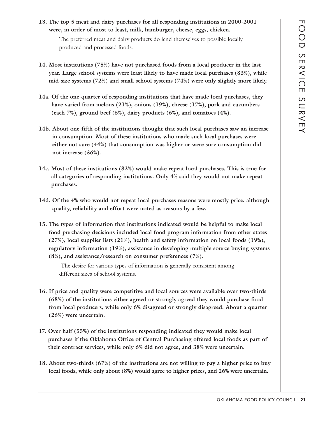**13. The top 5 meat and dairy purchases for all responding institutions in 2000-2001 were, in order of most to least, milk, hamburger, cheese, eggs, chicken.**

The preferred meat and dairy products do lend themselves to possible locally produced and processed foods.

- **14. Most institutions (75%) have not purchased foods from a local producer in the last year. Large school systems were least likely to have made local purchases (83%), while mid-size systems (72%) and small school systems (74%) were only slightly more likely.**
- **14a. Of the one-quarter of responding institutions that have made local purchases, they have varied from melons (21%), onions (19%), cheese (17%), pork and cucumbers (each 7%), ground beef (6%), dairy products (6%), and tomatoes (4%).**
- **14b. About one-fifth of the institutions thought that such local purchases saw an increase in consumption. Most of these institutions who made such local purchases were either not sure (44%) that consumption was higher or were sure consumption did not increase (36%).**
- **14c. Most of these institutions (82%) would make repeat local purchases. This is true for all categories of responding institutions. Only 4% said they would not make repeat purchases.**
- **14d. Of the 4% who would not repeat local purchases reasons were mostly price, although quality, reliability and effort were noted as reasons by a few.**
- **15. The types of information that institutions indicated would be helpful to make local food purchasing decisions included local food program information from other states (27%), local supplier lists (21%), health and safety information on local foods (19%), regulatory information (19%), assistance in developing multiple source buying systems (8%), and assistance/research on consumer preferences (7%).**

The desire for various types of information is generally consistent among different sizes of school systems.

- **16. If price and quality were competitive and local sources were available over two-thirds (68%) of the institutions either agreed or strongly agreed they would purchase food from local producers, while only 6% disagreed or strongly disagreed. About a quarter (26%) were uncertain.**
- **17. Over half (55%) of the institutions responding indicated they would make local purchases if the Oklahoma Office of Central Purchasing offered local foods as part of their contract services, while only 6% did not agree, and 38% were uncertain.**
- **18. About two-thirds (67%) of the institutions are not willing to pay a higher price to buy local foods, while only about (8%) would agree to higher prices, and 26% were uncertain.**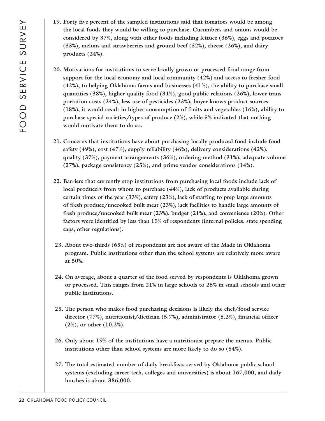- **19. Forty five percent of the sampled institutions said that tomatoes would be among the local foods they would be willing to purchase. Cucumbers and onions would be considered by 37%, along with other foods including lettuce (36%), eggs and potatoes (33%), melons and strawberries and ground beef (32%), cheese (26%), and dairy products (24%).**
- **20. Motivations for institutions to serve locally grown or processed food range from support for the local economy and local community (42%) and access to fresher food (42%), to helping Oklahoma farms and businesses (41%), the ability to purchase small quantities (38%), higher quality food (34%), good public relations (26%), lower transportation costs (24%), less use of pesticides (23%), buyer knows product sources (18%), it would result in higher consumption of fruits and vegetables (16%), ability to purchase special varieties/types of produce (2%), while 5% indicated that nothing would motivate them to do so.**
- **21. Concerns that institutions have about purchasing locally produced food include food safety (49%), cost (47%), supply reliability (46%), delivery considerations (42%), quality (37%), payment arrangements (36%), ordering method (31%), adequate volume (27%), package consistency (25%), and prime vendor considerations (14%).**
- **22. Barriers that currently stop institutions from purchasing local foods include lack of local producers from whom to purchase (44%), lack of products available during certain times of the year (33%), safety (23%), lack of staffing to prep large amounts of fresh produce/uncooked bulk meat (23%), lack facilities to handle large amounts of fresh produce/uncooked bulk meat (23%), budget (21%), and convenience (20%). Other factors were identified by less than 15% of respondents (internal policies, state spending caps, other regulations).**
- **23. About two-thirds (65%) of respondents are not aware of the Made in Oklahoma program. Public institutions other than the school systems are relatively more aware at 50%.**
- **24. On average, about a quarter of the food served by respondents is Oklahoma grown or processed. This ranges from 21% in large schools to 25% in small schools and other public institutions.**
- **25. The person who makes food purchasing decisions is likely the chef/food service director (77%), nutritionist/dietician (5.7%), administrator (5.2%), financial officer (2%), or other (10.2%).**
- **26. Only about 19% of the institutions have a nutritionist prepare the menus. Public institutions other than school systems are more likely to do so (54%).**
- **27. The total estimated number of daily breakfasts served by Oklahoma public school systems (excluding career tech, colleges and universities) is about 167,000, and daily lunches is about 386,000.**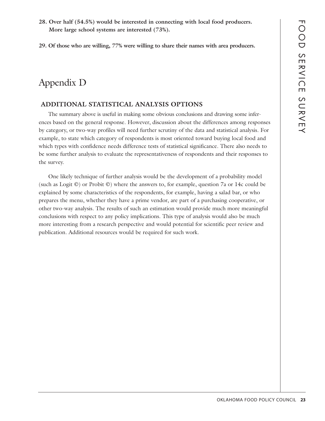- **28. Over half (54.5%) would be interested in connecting with local food producers. More large school systems are interested (73%).**
- **29. Of those who are willing, 77% were willing to share their names with area producers.**

## Appendix D

### **ADDITIONAL STATISTICAL ANALYSIS OPTIONS**

The summary above is useful in making some obvious conclusions and drawing some inferences based on the general response. However, discussion about the differences among responses by category, or two-way profiles will need further scrutiny of the data and statistical analysis. For example, to state which category of respondents is most oriented toward buying local food and which types with confidence needs difference tests of statistical significance. There also needs to be some further analysis to evaluate the representativeness of respondents and their responses to the survey.

One likely technique of further analysis would be the development of a probability model (such as Logit ©) or Probit ©) where the answers to, for example, question 7a or 14c could be explained by some characteristics of the respondents, for example, having a salad bar, or who prepares the menu, whether they have a prime vendor, are part of a purchasing cooperative, or other two-way analysis. The results of such an estimation would provide much more meaningful conclusions with respect to any policy implications. This type of analysis would also be much more interesting from a research perspective and would potential for scientific peer review and publication. Additional resources would be required for such work.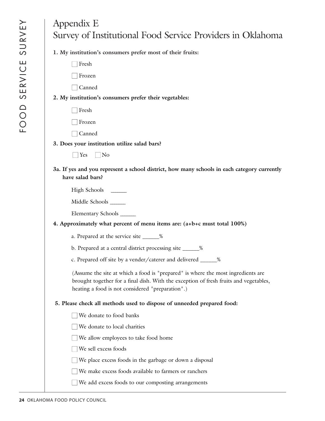| Appendix E<br>Survey of Institutional Food Service Providers in Oklahoma                                                                                                                                                      |
|-------------------------------------------------------------------------------------------------------------------------------------------------------------------------------------------------------------------------------|
| 1. My institution's consumers prefer most of their fruits:                                                                                                                                                                    |
| Fresh                                                                                                                                                                                                                         |
| Frozen                                                                                                                                                                                                                        |
| Canned                                                                                                                                                                                                                        |
| 2. My institution's consumers prefer their vegetables:                                                                                                                                                                        |
| Fresh                                                                                                                                                                                                                         |
| Frozen                                                                                                                                                                                                                        |
| Canned                                                                                                                                                                                                                        |
| 3. Does your institution utilize salad bars?                                                                                                                                                                                  |
| $\Box$ No<br>$\Box$ Yes                                                                                                                                                                                                       |
| 3a. If yes and you represent a school district, how many schools in each category currently<br>have salad bars?                                                                                                               |
| High Schools _______                                                                                                                                                                                                          |
| Middle Schools ______                                                                                                                                                                                                         |
| Elementary Schools ______                                                                                                                                                                                                     |
| 4. Approximately what percent of menu items are: (a+b+c must total 100%)                                                                                                                                                      |
| a. Prepared at the service site ______%                                                                                                                                                                                       |
| b. Prepared at a central district processing site _____%                                                                                                                                                                      |
| c. Prepared off site by a vender/caterer and delivered ______%                                                                                                                                                                |
| (Assume the site at which a food is "prepared" is where the most ingredients are<br>brought together for a final dish. With the exception of fresh fruits and vegetables,<br>heating a food is not considered "preparation".) |
| 5. Please check all methods used to dispose of unneeded prepared food:                                                                                                                                                        |
| We donate to food banks                                                                                                                                                                                                       |
| We donate to local charities                                                                                                                                                                                                  |
| We allow employees to take food home                                                                                                                                                                                          |
| We sell excess foods                                                                                                                                                                                                          |
| We place excess foods in the garbage or down a disposal                                                                                                                                                                       |
| We make excess foods available to farmers or ranchers                                                                                                                                                                         |
| We add excess foods to our composting arrangements                                                                                                                                                                            |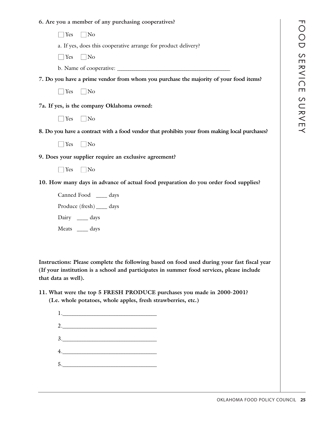## **6. Are you a member of any purchasing cooperatives?**

| 6. Are you a member of any purchasing cooperatives?                                                                                                                                                             |  |  |  |  |
|-----------------------------------------------------------------------------------------------------------------------------------------------------------------------------------------------------------------|--|--|--|--|
| $\Box$ Yes<br>$\Box$ No                                                                                                                                                                                         |  |  |  |  |
| a. If yes, does this cooperative arrange for product delivery?                                                                                                                                                  |  |  |  |  |
| $\Box$ Yes $\Box$ No                                                                                                                                                                                            |  |  |  |  |
|                                                                                                                                                                                                                 |  |  |  |  |
| 7. Do you have a prime vendor from whom you purchase the majority of your food items?                                                                                                                           |  |  |  |  |
| $\Box$ Yes<br>$\Box$ No                                                                                                                                                                                         |  |  |  |  |
| 7a. If yes, is the company Oklahoma owned:                                                                                                                                                                      |  |  |  |  |
| $\Box$ Yes $\Box$ No                                                                                                                                                                                            |  |  |  |  |
| 8. Do you have a contract with a food vendor that prohibits your from making local purchases?                                                                                                                   |  |  |  |  |
| $\Box$ Yes $\Box$ No                                                                                                                                                                                            |  |  |  |  |
| 9. Does your supplier require an exclusive agreement?                                                                                                                                                           |  |  |  |  |
| $\Box$ Yes<br>$\Box$ No                                                                                                                                                                                         |  |  |  |  |
| 10. How many days in advance of actual food preparation do you order food supplies?                                                                                                                             |  |  |  |  |
| Canned Food ____ days                                                                                                                                                                                           |  |  |  |  |
| Produce (fresh) ____ days                                                                                                                                                                                       |  |  |  |  |
| Dairy _____ days                                                                                                                                                                                                |  |  |  |  |
| Meats ____ days                                                                                                                                                                                                 |  |  |  |  |
|                                                                                                                                                                                                                 |  |  |  |  |
| Instructions: Please complete the following based on food used during your fast fiscal year<br>(If your institution is a school and participates in summer food services, please include<br>that data as well). |  |  |  |  |

**11. What were the top 5 FRESH PRODUCE purchases you made in 2000-2001? (I.e. whole potatoes, whole apples, fresh strawberries, etc.)**

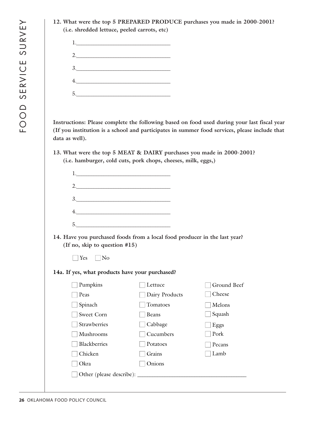**12. What were the top 5 PREPARED PRODUCE purchases you made in 2000-2001? (i.e. shredded lettuce, peeled carrots, etc)**

| $1$ . |  |  |
|-------|--|--|
| 2.    |  |  |
| 3.    |  |  |
| 4.    |  |  |
| 5.    |  |  |

**Instructions: Please complete the following based on food used during your last fiscal year (If you institution is a school and participates in summer food services, please include that data as well).**

**13. What were the top 5 MEAT & DAIRY purchases you made in 2000-2001? (i.e. hamburger, cold cuts, pork chops, cheeses, milk, eggs,)**

| 2.                                              |                                                                           |             |
|-------------------------------------------------|---------------------------------------------------------------------------|-------------|
| 3.                                              |                                                                           |             |
|                                                 |                                                                           |             |
|                                                 |                                                                           |             |
| (If no, skip to question #15)                   | 14. Have you purchased foods from a local food producer in the last year? |             |
| $\exists$ Yes<br>$\vert$ $\vert$ No             |                                                                           |             |
| 14a. If yes, what products have your purchased? |                                                                           |             |
| Pumpkins                                        | Lettuce                                                                   | Ground Beef |
| Peas                                            | $\Box$ Dairy Products                                                     | Cheese      |
| Spinach                                         | Tomatoes                                                                  | Melons      |
| Sweet Corn                                      | Beans                                                                     | Squash      |
| Strawberries                                    | Cabbage                                                                   | Eggs        |
| Mushrooms                                       | Cucumbers                                                                 | Pork        |
| <b>Blackberries</b>                             | Potatoes                                                                  | Pecans      |
| Chicken                                         | Grains                                                                    | Lamb        |
|                                                 |                                                                           |             |
| Okra                                            | Onions                                                                    |             |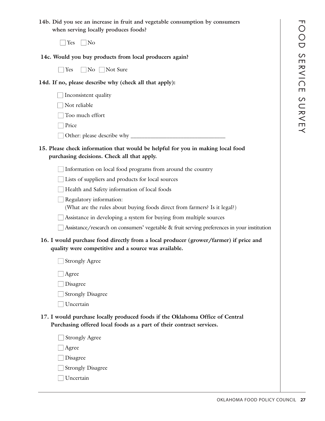**14b. Did you see an increase in fruit and vegetable consumption by consumers when serving locally produces foods?**

 $\Box$  Yes  $\Box$  No

|  |  |  | 14c. Would you buy products from local producers again? |  |
|--|--|--|---------------------------------------------------------|--|
|  |  |  |                                                         |  |

 $\Box$  Yes  $\Box$  No  $\Box$  Not Sure

**14d. If no, please describe why (check all that apply):**

- $\Box$  Inconsistent quality
- $\Box$  Not reliable
- $\Box$  Too much effort
- □ Price
- Other: please describe why \_\_\_\_\_\_\_\_\_\_\_\_\_\_\_\_\_\_\_\_\_\_\_\_\_\_\_\_\_\_\_\_\_\_

## **15. Please check information that would be helpful for you in making local food purchasing decisions. Check all that apply.**

 $\Box$  Information on local food programs from around the country

 $\Box$  Lists of suppliers and products for local sources

 $\Box$  Health and Safety information of local foods

 $\Box$  Regulatory information:

(What are the rules about buying foods direct from farmers? Is it legal?)

- $\Box$  Assistance in developing a system for buying from multiple sources
- $\Box$  Assistance/research on consumers' vegetable & fruit serving preferences in your institution

## **16. I would purchase food directly from a local producer (grower/farmer) if price and quality were competitive and a source was available.**

| Strongly Agree |  |
|----------------|--|
|----------------|--|

 $\Box$  Agree

- □ Disagree
- $\Box$  Strongly Disagree
- □ Uncertain
- **17. I would purchase locally produced foods if the Oklahoma Office of Central Purchasing offered local foods as a part of their contract services.**

 $\Box$  Strongly Agree  $\Box$  Agree

□ Disagree

 $\Box$  Strongly Disagree

□ Uncertain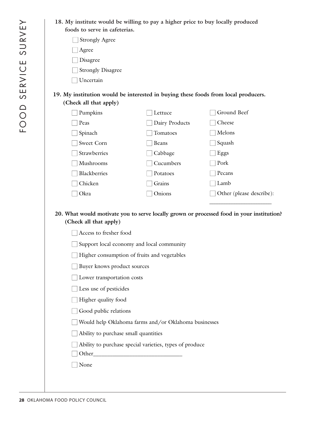**18. My institute would be willing to pay a higher price to buy locally produced foods to serve in cafeterias.**

| J Strongly Agree |
|------------------|
|------------------|

- □ Agree
- $\Box$  Disagree
- $\Box$  Strongly Disagree
- □ Uncertain

## **19. My institution would be interested in buying these foods from local producers. (Check all that apply)**

| Pumpkins            | Lettuce        | Ground Beef              |
|---------------------|----------------|--------------------------|
| Peas                | Dairy Products | Cheese                   |
| Spinach             | Tomatoes       | Melons                   |
| Sweet Corn          | <b>Beans</b>   | Squash                   |
| <b>Strawberries</b> | Cabbage<br>e e | Eggs                     |
| Mushrooms           | Cucumbers      | Pork                     |
| Blackberries        | Potatoes       | Pecans                   |
| Chicken             | Grains         | Lamb                     |
| Okra                | Onions         | Other (please describe): |
|                     |                |                          |

## **20. What would motivate you to serve locally grown or processed food in your institution? (Check all that apply)**

- $\Box$  Access to fresher food
- $\Box$  Support local economy and local community
- $\Box$  Higher consumption of fruits and vegetables
- Buyer knows product sources
- $\Box$  Lower transportation costs
- $\Box$  Less use of pesticides
- $\Box$  Higher quality food
- $\Box$  Good public relations
- $\Box$  Would help Oklahoma farms and/or Oklahoma businesses
- $\Box$  Ability to purchase small quantities
- $\Box$  Ability to purchase special varieties, types of produce
- $\Box$  Other
- None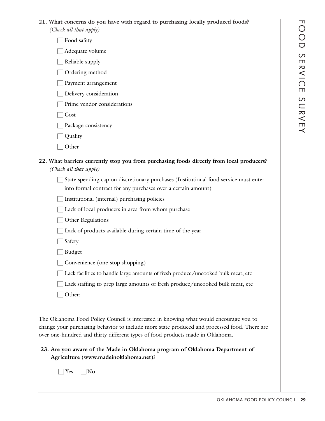## **21. What concerns do you have with regard to purchasing locally produced foods?**

*(Check all that apply)*

 $\Box$  Food safety

 $\Box$  Adequate volume

 $\Box$  Reliable supply

 $\Box$  Ordering method

□ Payment arrangement

 $\Box$  Delivery consideration

 $\Box$  Prime vendor considerations

□ Cost

 $\Box$  Package consistency

- $\Box$  Quality
- $\Box$  Other

| 22. What barriers currently stop you from purchasing foods directly from local producers? |
|-------------------------------------------------------------------------------------------|
| (Check all that apply)                                                                    |

 $\Box$  State spending cap on discretionary purchases (Institutional food service must enter into formal contract for any purchases over a certain amount)

| $\Box$ Institutional (internal) purchasing policies |  |  |
|-----------------------------------------------------|--|--|
|                                                     |  |  |

- $\Box$  Lack of local producers in area from whom purchase
- $\Box$  Other Regulations
- $\Box$  Lack of products available during certain time of the year

□ Safety

□ Budget

 $\Box$  Convenience (one-stop shopping)

 $\Box$  Lack facilities to handle large amounts of fresh produce/uncooked bulk meat, etc

 $\Box$  Lack staffing to prep large amounts of fresh produce/uncooked bulk meat, etc

□ Other:

The Oklahoma Food Policy Council is interested in knowing what would encourage you to change your purchasing behavior to include more state produced and processed food. There are over one-hundred and thirty different types of food products made in Oklahoma.

## **23. Are you aware of the Made in Oklahoma program of Oklahoma Department of Agriculture (www.madeinoklahoma.net)?**

 $\Box$  Yes  $\Box$  No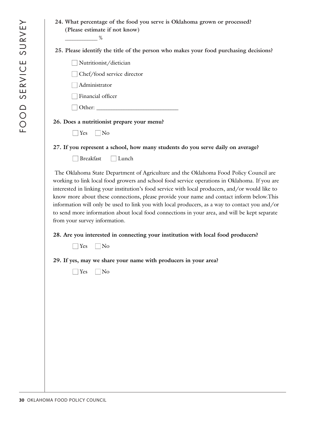| 24. What percentage of the food you serve is Oklahoma grown or processed?<br>(Please estimate if not know)                                                                                                                                                                                                                                                                                                                                                                                                                                                                                                                   |
|------------------------------------------------------------------------------------------------------------------------------------------------------------------------------------------------------------------------------------------------------------------------------------------------------------------------------------------------------------------------------------------------------------------------------------------------------------------------------------------------------------------------------------------------------------------------------------------------------------------------------|
| $\sim$ $\sim$ $\sim$ $\sim$ $\sim$                                                                                                                                                                                                                                                                                                                                                                                                                                                                                                                                                                                           |
| 25. Please identify the title of the person who makes your food purchasing decisions?                                                                                                                                                                                                                                                                                                                                                                                                                                                                                                                                        |
| Nutritionist/dietician                                                                                                                                                                                                                                                                                                                                                                                                                                                                                                                                                                                                       |
| $\perp$ Chef/food service director                                                                                                                                                                                                                                                                                                                                                                                                                                                                                                                                                                                           |
| Administrator                                                                                                                                                                                                                                                                                                                                                                                                                                                                                                                                                                                                                |
| Financial officer                                                                                                                                                                                                                                                                                                                                                                                                                                                                                                                                                                                                            |
|                                                                                                                                                                                                                                                                                                                                                                                                                                                                                                                                                                                                                              |
| 26. Does a nutritionist prepare your menu?                                                                                                                                                                                                                                                                                                                                                                                                                                                                                                                                                                                   |
| $\Box$ Yes $\Box$ No                                                                                                                                                                                                                                                                                                                                                                                                                                                                                                                                                                                                         |
| 27. If you represent a school, how many students do you serve daily on average?                                                                                                                                                                                                                                                                                                                                                                                                                                                                                                                                              |
| Breakfast<br>$\Box$ Lunch                                                                                                                                                                                                                                                                                                                                                                                                                                                                                                                                                                                                    |
| The Oklahoma State Department of Agriculture and the Oklahoma Food Policy Council are<br>working to link local food growers and school food service operations in Oklahoma. If you are<br>interested in linking your institution's food service with local producers, and/or would like to<br>know more about these connections, please provide your name and contact inform below. This<br>information will only be used to link you with local producers, as a way to contact you and/or<br>to send more information about local food connections in your area, and will be kept separate<br>from your survey information. |
| 28. Are you interested in connecting your institution with local food producers?<br>$\Box$ No<br>$\Box$ Yes                                                                                                                                                                                                                                                                                                                                                                                                                                                                                                                  |
| 29. If yes, may we share your name with producers in your area?                                                                                                                                                                                                                                                                                                                                                                                                                                                                                                                                                              |

 $\Box$  Yes  $\Box$  No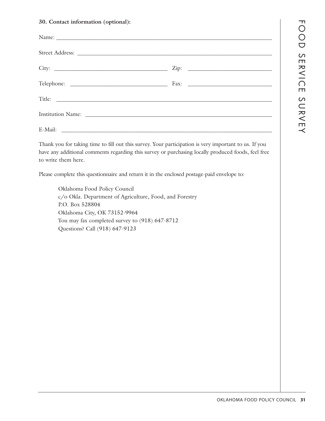### **30. Contact information (optional):**

| Institution Name: Campaign Communication of the Manual Communication of the Manual Communication of the Manual Communication of the Manual Communication of the Manual Communication of the Manual Communication of the Manual |  |
|--------------------------------------------------------------------------------------------------------------------------------------------------------------------------------------------------------------------------------|--|
|                                                                                                                                                                                                                                |  |

Thank you for taking time to fill out this survey. Your participation is very important to us. If you have any additional comments regarding this survey or purchasing locally produced foods, feel free to write them here.

Please complete this questionnaire and return it in the enclosed postage-paid envelope to:

Oklahoma Food Policy Council c/o Okla. Department of Agriculture, Food, and Forestry P.O. Box 528804 Oklahoma City, OK 73152-9964 You may fax completed survey to (918) 647-8712 Questions? Call (918) 647-9123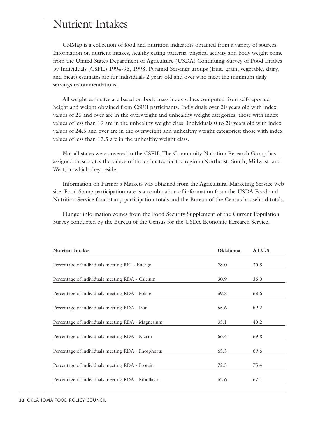## Nutrient Intakes

CNMap is a collection of food and nutrition indicators obtained from a variety of sources. Information on nutrient intakes, healthy eating patterns, physical activity and body weight come from the United States Department of Agriculture (USDA) Continuing Survey of Food Intakes by Individuals (CSFII) 1994-96, 1998. Pyramid Servings groups (fruit, grain, vegetable, dairy, and meat) estimates are for individuals 2 years old and over who meet the minimum daily servings recommendations.

All weight estimates are based on body mass index values computed from self-reported height and weight obtained from CSFII participants. Individuals over 20 years old with index values of 25 and over are in the overweight and unhealthy weight categories; those with index values of less than 19 are in the unhealthy weight class. Individuals 0 to 20 years old with index values of 24.5 and over are in the overweight and unhealthy weight categories; those with index values of less than 13.5 are in the unhealthy weight class.

Not all states were covered in the CSFII. The Community Nutrition Research Group has assigned these states the values of the estimates for the region (Northeast, South, Midwest, and West) in which they reside.

Information on Farmer's Markets was obtained from the Agricultural Marketing Service web site. Food Stamp participation rate is a combination of information from the USDA Food and Nutrition Service food stamp participation totals and the Bureau of the Census household totals.

Hunger information comes from the Food Security Supplement of the Current Population Survey conducted by the Bureau of the Census for the USDA Economic Research Service.

| <b>Nutrient Intakes</b>                            | <b>Oklahoma</b> | All U.S. |
|----------------------------------------------------|-----------------|----------|
|                                                    |                 |          |
| Percentage of individuals meeting REI - Energy     | 28.0            | 30.8     |
|                                                    |                 |          |
| Percentage of individuals meeting RDA - Calcium    | 30.9            | 36.0     |
|                                                    |                 |          |
| Percentage of individuals meeting RDA - Folate     | 59.8            | 63.6     |
|                                                    |                 |          |
| Percentage of individuals meeting RDA - Iron       | 55.6            | 59.2     |
|                                                    |                 |          |
| Percentage of individuals meeting RDA - Magnesium  | 35.1            | 40.2     |
|                                                    |                 |          |
| Percentage of individuals meeting RDA - Niacin     | 66.4            | 69.8     |
|                                                    |                 |          |
| Percentage of individuals meeting RDA - Phosphorus | 65.5            | 69.6     |
|                                                    |                 |          |
| Percentage of individuals meeting RDA - Protein    | 72.5            | 75.4     |
|                                                    |                 |          |
| Percentage of individuals meeting RDA - Riboflavin | 62.6            | 67.4     |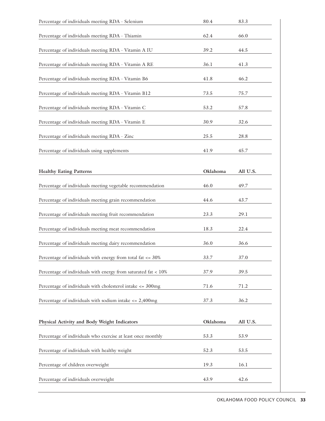| Percentage of individuals meeting RDA - Selenium                      | 80.4     | 83.3     |
|-----------------------------------------------------------------------|----------|----------|
| Percentage of individuals meeting RDA - Thiamin                       | 62.4     | 66.0     |
| Percentage of individuals meeting RDA - Vitamin A IU                  | 39.2     | 44.5     |
| Percentage of individuals meeting RDA - Vitamin A RE                  | 36.1     | 41.3     |
| Percentage of individuals meeting RDA - Vitamin B6                    | 41.8     | 46.2     |
| Percentage of individuals meeting RDA - Vitamin B12                   | 73.5     | 75.7     |
| Percentage of individuals meeting RDA - Vitamin C                     | 53.2     | 57.8     |
| Percentage of individuals meeting RDA - Vitamin E                     | 30.9     | 32.6     |
| Percentage of individuals meeting RDA - Zinc                          | 25.5     | 28.8     |
| Percentage of individuals using supplements                           | 41.9     | 45.7     |
| <b>Healthy Eating Patterns</b>                                        | Oklahoma | All U.S. |
| Percentage of individuals meeting vegetable recommendation            | 46.0     | 49.7     |
| Percentage of individuals meeting grain recommendation                | 44.6     | 43.7     |
| Percentage of individuals meeting fruit recommendation                | 23.3     | 29.1     |
| Percentage of individuals meeting meat recommendation                 | 18.3     | 22.4     |
| Percentage of individuals meeting dairy recommendation                | 36.0     | 36.6     |
| Percentage of individuals with energy from total fat $\epsilon$ = 30% | 33.7     | 37.0     |
| Percentage of individuals with energy from saturated fat $< 10\%$     | 37.9     | 39.5     |
| Percentage of individuals with cholesterol intake $\epsilon$ = 300mg  | 71.6     | 71.2     |
| Percentage of individuals with sodium intake $\epsilon$ = 2,400mg     | 37.3     | 36.2     |
| Physical Activity and Body Weight Indicators                          | Oklahoma | All U.S. |
| Percentage of individuals who exercise at least once monthly          | 53.3     | 53.9     |
| Percentage of individuals with healthy weight                         | 52.3     | 53.5     |
| Percentage of children overweight                                     | 19.3     | 16.1     |
| Percentage of individuals overweight                                  | 43.9     | 42.6     |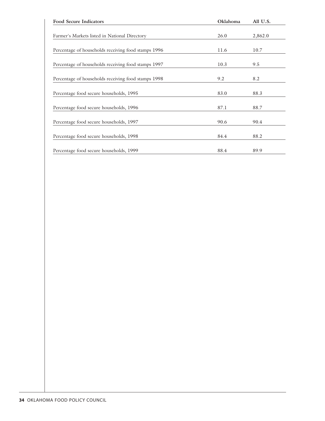| <b>Food Secure Indicators</b>                       | Oklahoma | All U.S. |
|-----------------------------------------------------|----------|----------|
|                                                     |          |          |
| Farmer's Markets listed in National Directory       | 26.0     | 2,862.0  |
|                                                     |          |          |
| Percentage of households receiving food stamps 1996 | 11.6     | 10.7     |
|                                                     |          |          |
| Percentage of households receiving food stamps 1997 | 10.3     | 9.5      |
|                                                     |          |          |
| Percentage of households receiving food stamps 1998 | 9.2      | 8.2      |
|                                                     |          |          |
| Percentage food secure households, 1995             | 83.0     | 88.3     |
|                                                     |          |          |
| Percentage food secure households, 1996             | 87.1     | 88.7     |
|                                                     |          |          |
| Percentage food secure households, 1997             | 90.6     | 90.4     |
|                                                     |          |          |
| Percentage food secure households, 1998             | 84.4     | 88.2     |
|                                                     |          |          |
| Percentage food secure households, 1999             | 88.4     | 89.9     |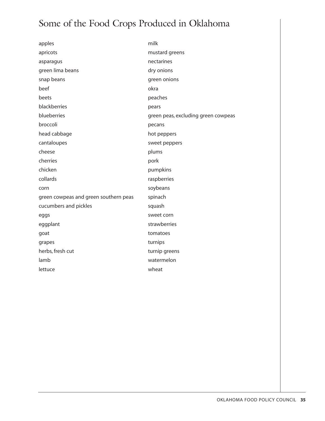## Some of the Food Crops Produced in Oklahoma

| apples                                | milk                                |
|---------------------------------------|-------------------------------------|
| apricots                              | mustard greens                      |
| asparagus                             | nectarines                          |
| green lima beans                      | dry onions                          |
| snap beans                            | green onions                        |
| beef                                  | okra                                |
| beets                                 | peaches                             |
| blackberries                          | pears                               |
| blueberries                           | green peas, excluding green cowpeas |
| broccoli                              | pecans                              |
| head cabbage                          | hot peppers                         |
| cantaloupes                           | sweet peppers                       |
| cheese                                | plums                               |
| cherries                              | pork                                |
| chicken                               | pumpkins                            |
| collards                              | raspberries                         |
| corn                                  | soybeans                            |
| green cowpeas and green southern peas | spinach                             |
| cucumbers and pickles                 | squash                              |
| eggs                                  | sweet corn                          |
| eggplant                              | strawberries                        |
| goat                                  | tomatoes                            |
| grapes                                | turnips                             |
| herbs, fresh cut                      | turnip greens                       |
| lamb                                  | watermelon                          |
| lettuce                               | wheat                               |